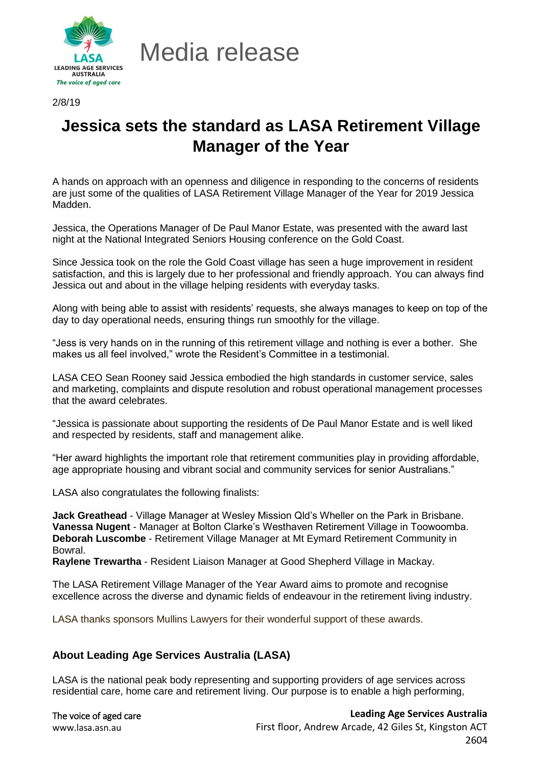

Media release

2/8/19

## **Jessica sets the standard as LASA Retirement Village Manager of the Year**

A hands on approach with an openness and diligence in responding to the concerns of residents are just some of the qualities of LASA Retirement Village Manager of the Year for 2019 Jessica Madden.

Jessica, the Operations Manager of De Paul Manor Estate, was presented with the award last night at the National Integrated Seniors Housing conference on the Gold Coast.

Since Jessica took on the role the Gold Coast village has seen a huge improvement in resident satisfaction, and this is largely due to her professional and friendly approach. You can always find Jessica out and about in the village helping residents with everyday tasks.

Along with being able to assist with residents' requests, she always manages to keep on top of the day to day operational needs, ensuring things run smoothly for the village.

"Jess is very hands on in the running of this retirement village and nothing is ever a bother. She makes us all feel involved," wrote the Resident's Committee in a testimonial.

LASA CEO Sean Rooney said Jessica embodied the high standards in customer service, sales and marketing, complaints and dispute resolution and robust operational management processes that the award celebrates.

"Jessica is passionate about supporting the residents of De Paul Manor Estate and is well liked and respected by residents, staff and management alike.

"Her award highlights the important role that retirement communities play in providing affordable, age appropriate housing and vibrant social and community services for senior Australians."

LASA also congratulates the following finalists:

**Jack Greathead** - Village Manager at Wesley Mission Qld's Wheller on the Park in Brisbane. **Vanessa Nugent** - Manager at Bolton Clarke's Westhaven Retirement Village in Toowoomba. **Deborah Luscombe** - Retirement Village Manager at Mt Eymard Retirement Community in Bowral.

**Raylene Trewartha** - Resident Liaison Manager at Good Shepherd Village in Mackay.

The LASA Retirement Village Manager of the Year Award aims to promote and recognise excellence across the diverse and dynamic fields of endeavour in the retirement living industry.

LASA thanks sponsors Mullins Lawyers for their wonderful support of these awards.

## **About Leading Age Services Australia (LASA)**

LASA is the national peak body representing and supporting providers of age services across residential care, home care and retirement living. Our purpose is to enable a high performing,

| The voice of aged care |
|------------------------|
| www.lasa.asn.au        |